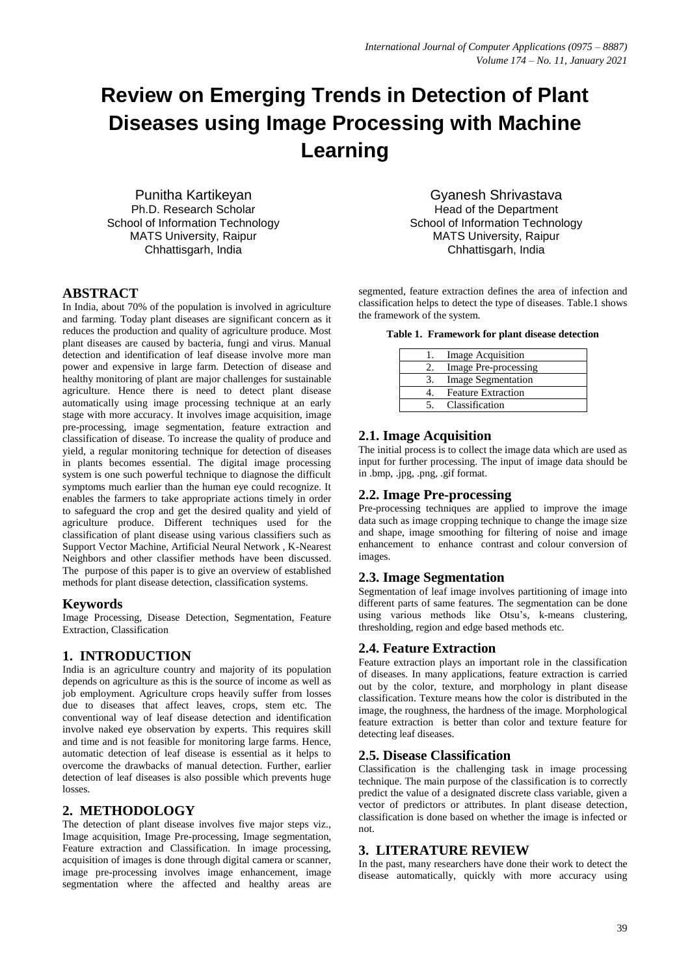# **Review on Emerging Trends in Detection of Plant Diseases using Image Processing with Machine Learning**

Punitha Kartikeyan Ph.D. Research Scholar School of Information Technology MATS University, Raipur Chhattisgarh, India

# **ABSTRACT**

In India, about 70% of the population is involved in agriculture and farming. Today plant diseases are significant concern as it reduces the production and quality of agriculture produce. Most plant diseases are caused by bacteria, fungi and virus. Manual detection and identification of leaf disease involve more man power and expensive in large farm. Detection of disease and healthy monitoring of plant are major challenges for sustainable agriculture. Hence there is need to detect plant disease automatically using image processing technique at an early stage with more accuracy. It involves image acquisition, image pre-processing, image segmentation, feature extraction and classification of disease. To increase the quality of produce and yield, a regular monitoring technique for detection of diseases in plants becomes essential. The digital image processing system is one such powerful technique to diagnose the difficult symptoms much earlier than the human eye could recognize. It enables the farmers to take appropriate actions timely in order to safeguard the crop and get the desired quality and yield of agriculture produce. Different techniques used for the classification of plant disease using various classifiers such as Support Vector Machine, Artificial Neural Network , K-Nearest Neighbors and other classifier methods have been discussed. The purpose of this paper is to give an overview of established methods for plant disease detection, classification systems.

#### **Keywords**

Image Processing, Disease Detection, Segmentation, Feature Extraction, Classification

# **1. INTRODUCTION**

India is an agriculture country and majority of its population depends on agriculture as this is the source of income as well as job employment. Agriculture crops heavily suffer from losses due to diseases that affect leaves, crops, stem etc. The conventional way of leaf disease detection and identification involve naked eye observation by experts. This requires skill and time and is not feasible for monitoring large farms. Hence, automatic detection of leaf disease is essential as it helps to overcome the drawbacks of manual detection. Further, earlier detection of leaf diseases is also possible which prevents huge losses.

#### **2. METHODOLOGY**

The detection of plant disease involves five major steps viz., Image acquisition, Image Pre-processing, Image segmentation, Feature extraction and Classification. In image processing, acquisition of images is done through digital camera or scanner, image pre-processing involves image enhancement, image segmentation where the affected and healthy areas are

Gyanesh Shrivastava Head of the Department School of Information Technology MATS University, Raipur Chhattisgarh, India

segmented, feature extraction defines the area of infection and classification helps to detect the type of diseases. Table.1 shows the framework of the system.

**Table 1. Framework for plant disease detection**

|    | Image Acquisition         |
|----|---------------------------|
| 2. | Image Pre-processing      |
| 3. | <b>Image Segmentation</b> |
|    | <b>Feature Extraction</b> |
|    | Classification            |

# **2.1. Image Acquisition**

The initial process is to collect the image data which are used as input for further processing. The input of image data should be in .bmp, .jpg, .png, .gif format.

# **2.2. Image Pre-processing**

Pre-processing techniques are applied to improve the image data such as image cropping technique to change the image size and shape, image smoothing for filtering of noise and image enhancement to enhance contrast and colour conversion of images.

# **2.3. Image Segmentation**

Segmentation of leaf image involves partitioning of image into different parts of same features. The segmentation can be done using various methods like Otsu's, k-means clustering, thresholding, region and edge based methods etc.

#### **2.4. Feature Extraction**

Feature extraction plays an important role in the classification of diseases. In many applications, feature extraction is carried out by the color, texture, and morphology in plant disease classification. Texture means how the color is distributed in the image, the roughness, the hardness of the image. Morphological feature extraction is better than color and texture feature for detecting leaf diseases.

#### **2.5. Disease Classification**

Classification is the challenging task in image processing technique. The main purpose of the classification is to correctly predict the value of a designated discrete class variable, given a vector of predictors or attributes. In plant disease detection, classification is done based on whether the image is infected or not.

# **3. LITERATURE REVIEW**

In the past, many researchers have done their work to detect the disease automatically, quickly with more accuracy using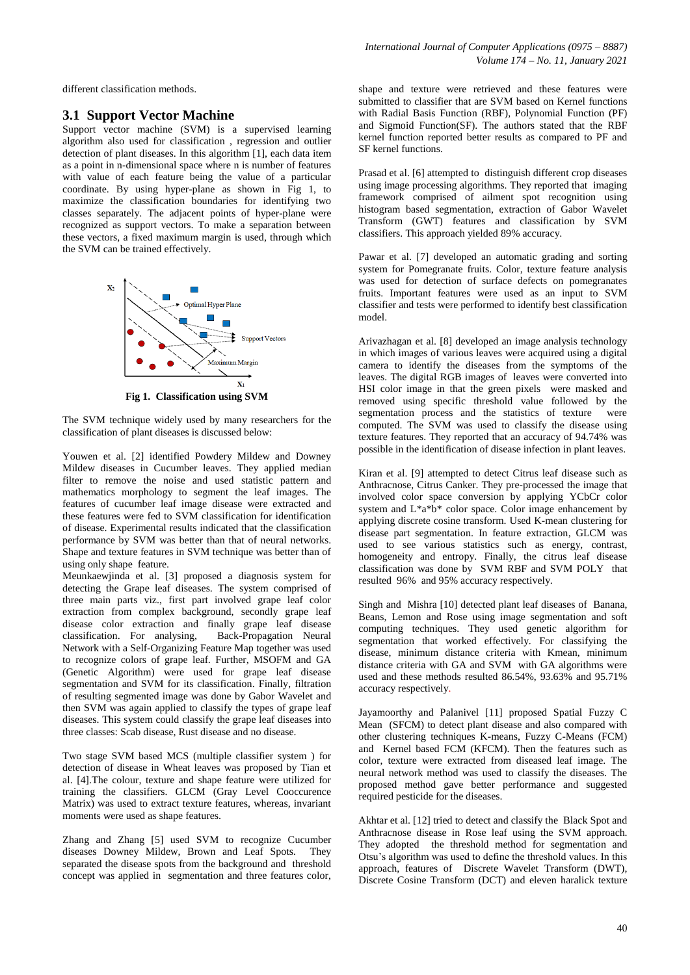different classification methods.

#### **3.1 Support Vector Machine**

Support vector machine (SVM) is a supervised learning algorithm also used for classification , regression and outlier detection of plant diseases. In this algorithm [1], each data item as a point in n-dimensional space where n is number of features with value of each feature being the value of a particular coordinate. By using hyper-plane as shown in Fig 1, to maximize the classification boundaries for identifying two classes separately. The adjacent points of hyper-plane were recognized as support vectors. To make a separation between these vectors, a fixed maximum margin is used, through which the SVM can be trained effectively.



**Fig 1. Classification using SVM**

The SVM technique widely used by many researchers for the classification of plant diseases is discussed below:

Youwen et al. [2] identified Powdery Mildew and Downey Mildew diseases in Cucumber leaves. They applied median filter to remove the noise and used statistic pattern and mathematics morphology to segment the leaf images. The features of cucumber leaf image disease were extracted and these features were fed to SVM classification for identification of disease. Experimental results indicated that the classification performance by SVM was better than that of neural networks. Shape and texture features in SVM technique was better than of using only shape feature.

Meunkaewjinda et al. [3] proposed a diagnosis system for detecting the Grape leaf diseases. The system comprised of three main parts viz., first part involved grape leaf color extraction from complex background, secondly grape leaf disease color extraction and finally grape leaf disease classification. For analysing, Back-Propagation Neural Network with a Self-Organizing Feature Map together was used to recognize colors of grape leaf. Further, MSOFM and GA (Genetic Algorithm) were used for grape leaf disease segmentation and SVM for its classification. Finally, filtration of resulting segmented image was done by Gabor Wavelet and then SVM was again applied to classify the types of grape leaf diseases. This system could classify the grape leaf diseases into three classes: Scab disease, Rust disease and no disease.

Two stage SVM based MCS (multiple classifier system ) for detection of disease in Wheat leaves was proposed by Tian et al. [4].The colour, texture and shape feature were utilized for training the classifiers. GLCM (Gray Level Cooccurence Matrix) was used to extract texture features, whereas, invariant moments were used as shape features.

Zhang and Zhang [5] used SVM to recognize Cucumber diseases Downey Mildew, Brown and Leaf Spots. They separated the disease spots from the background and threshold concept was applied in segmentation and three features color,

shape and texture were retrieved and these features were submitted to classifier that are SVM based on Kernel functions with Radial Basis Function (RBF), Polynomial Function (PF) and Sigmoid Function(SF). The authors stated that the RBF kernel function reported better results as compared to PF and SF kernel functions.

Prasad et al. [6] attempted to distinguish different crop diseases using image processing algorithms. They reported that imaging framework comprised of ailment spot recognition using histogram based segmentation, extraction of Gabor Wavelet Transform (GWT) features and classification by SVM classifiers. This approach yielded 89% accuracy.

Pawar et al. [7] developed an automatic grading and sorting system for Pomegranate fruits. Color, texture feature analysis was used for detection of surface defects on pomegranates fruits. Important features were used as an input to SVM classifier and tests were performed to identify best classification model.

Arivazhagan et al. [8] developed an image analysis technology in which images of various leaves were acquired using a digital camera to identify the diseases from the symptoms of the leaves. The digital RGB images of leaves were converted into HSI color image in that the green pixels were masked and removed using specific threshold value followed by the segmentation process and the statistics of texture were computed. The SVM was used to classify the disease using texture features. They reported that an accuracy of 94.74% was possible in the identification of disease infection in plant leaves.

Kiran et al. [9] attempted to detect Citrus leaf disease such as Anthracnose, Citrus Canker. They pre-processed the image that involved color space conversion by applying YCbCr color system and  $L^*a^*b^*$  color space. Color image enhancement by applying discrete cosine transform. Used K-mean clustering for disease part segmentation. In feature extraction, GLCM was used to see various statistics such as energy, contrast, homogeneity and entropy. Finally, the citrus leaf disease classification was done by SVM RBF and SVM POLY that resulted 96% and 95% accuracy respectively.

Singh and Mishra [10] detected plant leaf diseases of Banana, Beans, Lemon and Rose using image segmentation and soft computing techniques. They used genetic algorithm for segmentation that worked effectively. For classifying the disease, minimum distance criteria with Kmean, minimum distance criteria with GA and SVM with GA algorithms were used and these methods resulted 86.54%, 93.63% and 95.71% accuracy respectively.

Jayamoorthy and Palanivel [11] proposed Spatial Fuzzy C Mean (SFCM) to detect plant disease and also compared with other clustering techniques K-means, Fuzzy C-Means (FCM) and Kernel based FCM (KFCM). Then the features such as color, texture were extracted from diseased leaf image. The neural network method was used to classify the diseases. The proposed method gave better performance and suggested required pesticide for the diseases.

Akhtar et al. [12] tried to detect and classify the Black Spot and Anthracnose disease in Rose leaf using the SVM approach. They adopted the threshold method for segmentation and Otsu's algorithm was used to define the threshold values. In this approach, features of Discrete Wavelet Transform (DWT), Discrete Cosine Transform (DCT) and eleven haralick texture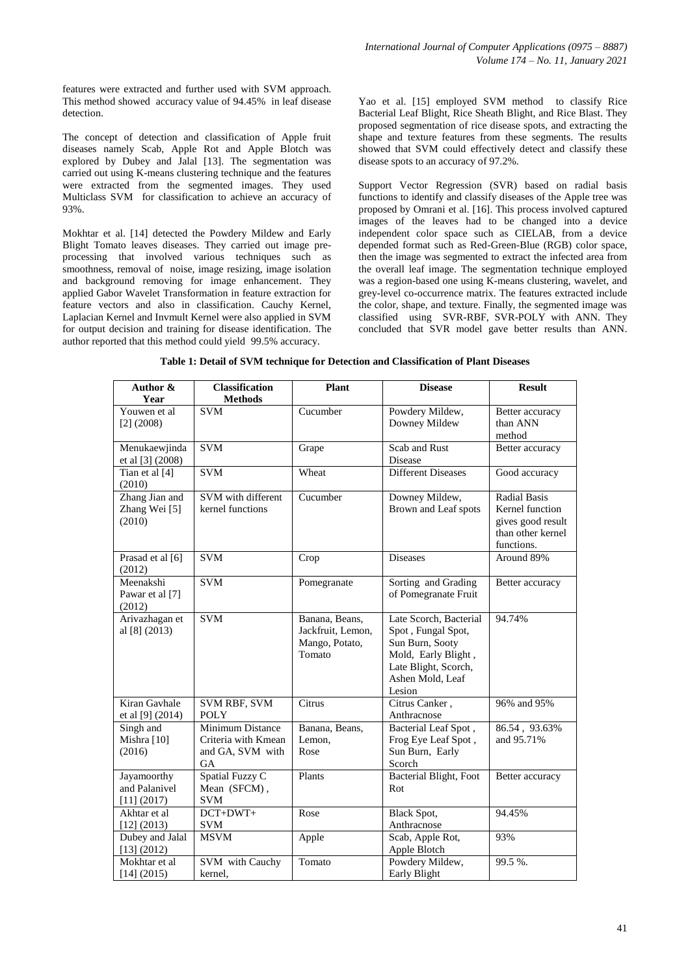features were extracted and further used with SVM approach. This method showed accuracy value of 94.45% in leaf disease detection.

The concept of detection and classification of Apple fruit diseases namely Scab, Apple Rot and Apple Blotch was explored by Dubey and Jalal [13]. The segmentation was carried out using K-means clustering technique and the features were extracted from the segmented images. They used Multiclass SVM for classification to achieve an accuracy of 93%.

Mokhtar et al. [14] detected the Powdery Mildew and Early Blight Tomato leaves diseases. They carried out image preprocessing that involved various techniques such as smoothness, removal of noise, image resizing, image isolation and background removing for image enhancement. They applied Gabor Wavelet Transformation in feature extraction for feature vectors and also in classification. Cauchy Kernel, Laplacian Kernel and Invmult Kernel were also applied in SVM for output decision and training for disease identification. The author reported that this method could yield 99.5% accuracy.

Yao et al. [15] employed SVM method to classify Rice Bacterial Leaf Blight, Rice Sheath Blight, and Rice Blast. They proposed segmentation of rice disease spots, and extracting the shape and texture features from these segments. The results showed that SVM could effectively detect and classify these disease spots to an accuracy of 97.2%.

Support Vector Regression (SVR) based on radial basis functions to identify and classify diseases of the Apple tree was proposed by Omrani et al. [16]. This process involved captured images of the leaves had to be changed into a device independent color space such as CIELAB, from a device depended format such as Red-Green-Blue (RGB) color space, then the image was segmented to extract the infected area from the overall leaf image. The segmentation technique employed was a region-based one using K-means clustering, wavelet, and grey-level co-occurrence matrix. The features extracted include the color, shape, and texture. Finally, the segmented image was classified using SVR-RBF, SVR-POLY with ANN. They concluded that SVR model gave better results than ANN.

| Author &<br>Year                                | <b>Classification</b><br><b>Methods</b>                                  | <b>Plant</b>                                                    | <b>Disease</b>                                                                                                                               | <b>Result</b>                                                                                  |
|-------------------------------------------------|--------------------------------------------------------------------------|-----------------------------------------------------------------|----------------------------------------------------------------------------------------------------------------------------------------------|------------------------------------------------------------------------------------------------|
| Youwen et al<br>$[2]$ (2008)                    | <b>SVM</b>                                                               | Cucumber                                                        | Powdery Mildew,<br>Downey Mildew                                                                                                             | Better accuracy<br>than ANN<br>method                                                          |
| Menukaewjinda<br>et al [3] (2008)               | <b>SVM</b>                                                               | Grape                                                           | Scab and Rust<br>Disease                                                                                                                     | Better accuracy                                                                                |
| Tian et al $[4]$<br>(2010)                      | <b>SVM</b>                                                               | Wheat                                                           | <b>Different Diseases</b>                                                                                                                    | Good accuracy                                                                                  |
| Zhang Jian and<br>Zhang Wei [5]<br>(2010)       | SVM with different<br>kernel functions                                   | Cucumber                                                        | Downey Mildew,<br>Brown and Leaf spots                                                                                                       | <b>Radial Basis</b><br>Kernel function<br>gives good result<br>than other kernel<br>functions. |
| Prasad et al [6]<br>(2012)                      | <b>SVM</b>                                                               | Crop                                                            | <b>Diseases</b>                                                                                                                              | Around 89%                                                                                     |
| Meenakshi<br>Pawar et al [7]<br>(2012)          | <b>SVM</b>                                                               | Pomegranate                                                     | Sorting and Grading<br>of Pomegranate Fruit                                                                                                  | Better accuracy                                                                                |
| Arivazhagan et<br>al [8] (2013)                 | <b>SVM</b>                                                               | Banana, Beans,<br>Jackfruit, Lemon,<br>Mango, Potato,<br>Tomato | Late Scorch, Bacterial<br>Spot, Fungal Spot,<br>Sun Burn, Sooty<br>Mold, Early Blight,<br>Late Blight, Scorch,<br>Ashen Mold, Leaf<br>Lesion | 94.74%                                                                                         |
| Kiran Gavhale<br>et al [9] (2014)               | SVM RBF, SVM<br><b>POLY</b>                                              | Citrus                                                          | Citrus Canker,<br>Anthracnose                                                                                                                | 96% and 95%                                                                                    |
| Singh and<br>Mishra [10]<br>(2016)              | Minimum Distance<br>Criteria with Kmean<br>and GA, SVM with<br><b>GA</b> | Banana, Beans,<br>Lemon,<br>Rose                                | Bacterial Leaf Spot,<br>Frog Eye Leaf Spot,<br>Sun Burn, Early<br>Scorch                                                                     | 86.54, 93.63%<br>and 95.71%                                                                    |
| Jayamoorthy<br>and Palanivel<br>$[11]$ $(2017)$ | Spatial Fuzzy C<br>Mean (SFCM),<br><b>SVM</b>                            | Plants                                                          | <b>Bacterial Blight</b> , Foot<br>Rot                                                                                                        | Better accuracy                                                                                |
| Akhtar et al<br>[12] (2013)                     | DCT+DWT+<br><b>SVM</b>                                                   | Rose                                                            | Black Spot,<br>Anthracnose                                                                                                                   | 94.45%                                                                                         |
| Dubey and Jalal<br>[13] (2012)                  | <b>MSVM</b>                                                              | Apple                                                           | Scab, Apple Rot,<br>Apple Blotch                                                                                                             | 93%                                                                                            |
| Mokhtar et al<br>[14] (2015)                    | SVM with Cauchy<br>kernel.                                               | Tomato                                                          | Powdery Mildew,<br>Early Blight                                                                                                              | 99.5%.                                                                                         |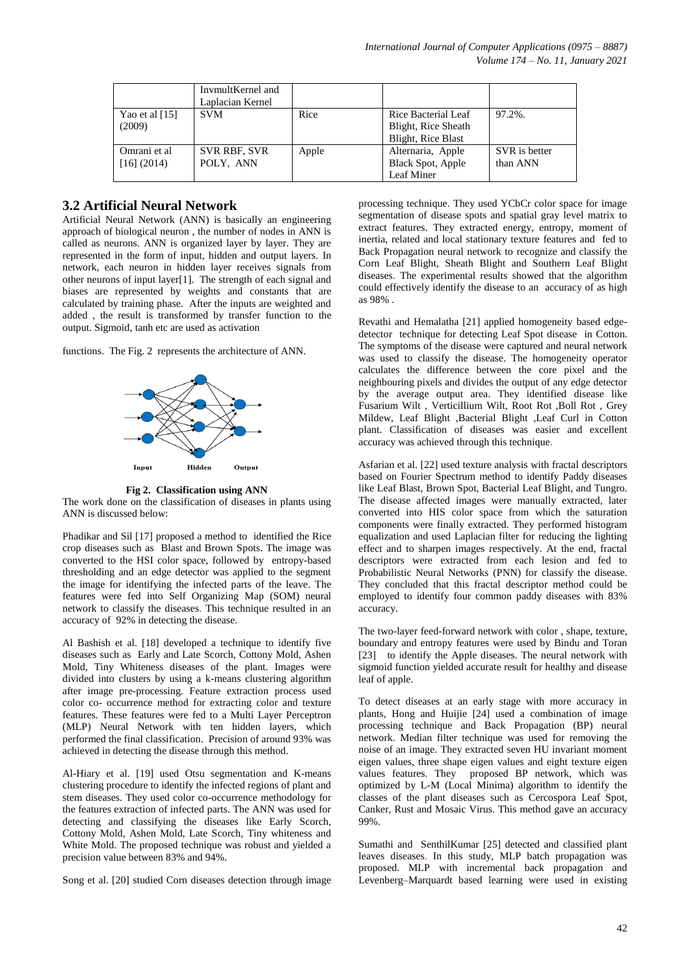|                             | InvmultKernel and<br>Laplacian Kernel |       |                                                                  |                           |
|-----------------------------|---------------------------------------|-------|------------------------------------------------------------------|---------------------------|
| Yao et al $[15]$<br>(2009)  | <b>SVM</b>                            | Rice  | Rice Bacterial Leaf<br>Blight, Rice Sheath<br>Blight, Rice Blast | 97.2%.                    |
| Omrani et al<br>[16] (2014) | <b>SVR RBF, SVR</b><br>POLY, ANN      | Apple | Alternaria, Apple<br>Black Spot, Apple<br>Leaf Miner             | SVR is better<br>than ANN |

#### **3.2 Artificial Neural Network**

Artificial Neural Network (ANN) is basically an engineering approach of biological neuron , the number of nodes in ANN is called as neurons. ANN is organized layer by layer. They are represented in the form of input, hidden and output layers. In network, each neuron in hidden layer receives signals from other neurons of input layer[1]. The strength of each signal and biases are represented by weights and constants that are calculated by training phase. After the inputs are weighted and added , the result is transformed by transfer function to the output. Sigmoid, tanh etc are used as activation

functions. The Fig. 2 represents the architecture of ANN.



**Fig 2. Classification using ANN**

The work done on the classification of diseases in plants using ANN is discussed below:

Phadikar and Sil [17] proposed a method to identified the Rice crop diseases such as Blast and Brown Spots. The image was converted to the HSI color space, followed by entropy-based thresholding and an edge detector was applied to the segment the image for identifying the infected parts of the leave. The features were fed into Self Organizing Map (SOM) neural network to classify the diseases. This technique resulted in an accuracy of 92% in detecting the disease.

Al Bashish et al. [18] developed a technique to identify five diseases such as Early and Late Scorch, Cottony Mold, Ashen Mold, Tiny Whiteness diseases of the plant. Images were divided into clusters by using a k-means clustering algorithm after image pre-processing. Feature extraction process used color co- occurrence method for extracting color and texture features. These features were fed to a Multi Layer Perceptron (MLP) Neural Network with ten hidden layers, which performed the final classification. Precision of around 93% was achieved in detecting the disease through this method.

Al-Hiary et al. [19] used Otsu segmentation and K-means clustering procedure to identify the infected regions of plant and stem diseases. They used color co-occurrence methodology for the features extraction of infected parts. The ANN was used for detecting and classifying the diseases like Early Scorch, Cottony Mold, Ashen Mold, Late Scorch, Tiny whiteness and White Mold. The proposed technique was robust and yielded a precision value between 83% and 94%.

Song et al. [20] studied Corn diseases detection through image

processing technique. They used YCbCr color space for image segmentation of disease spots and spatial gray level matrix to extract features. They extracted energy, entropy, moment of inertia, related and local stationary texture features and fed to Back Propagation neural network to recognize and classify the Corn Leaf Blight, Sheath Blight and Southern Leaf Blight diseases. The experimental results showed that the algorithm could effectively identify the disease to an accuracy of as high as 98% .

Revathi and Hemalatha [21] applied homogeneity based edgedetector technique for detecting Leaf Spot disease in Cotton. The symptoms of the disease were captured and neural network was used to classify the disease. The homogeneity operator calculates the difference between the core pixel and the neighbouring pixels and divides the output of any edge detector by the average output area. They identified disease like Fusarium Wilt, Verticillium Wilt, Root Rot, Boll Rot, Grey Mildew, Leaf Blight ,Bacterial Blight ,Leaf Curl in Cotton plant. Classification of diseases was easier and excellent accuracy was achieved through this technique.

Asfarian et al. [22] used texture analysis with fractal descriptors based on Fourier Spectrum method to identify Paddy diseases like Leaf Blast, Brown Spot, Bacterial Leaf Blight, and Tungro. The disease affected images were manually extracted, later converted into HIS color space from which the saturation components were finally extracted. They performed histogram equalization and used Laplacian filter for reducing the lighting effect and to sharpen images respectively. At the end, fractal descriptors were extracted from each lesion and fed to Probabilistic Neural Networks (PNN) for classify the disease. They concluded that this fractal descriptor method could be employed to identify four common paddy diseases with 83% accuracy.

The two-layer feed-forward network with color , shape, texture, boundary and entropy features were used by Bindu and Toran [23] to identify the Apple diseases. The neural network with sigmoid function yielded accurate result for healthy and disease leaf of apple.

To detect diseases at an early stage with more accuracy in plants, Hong and Huijie [24] used a combination of image processing technique and Back Propagation (BP) neural network. Median filter technique was used for removing the noise of an image. They extracted seven HU invariant moment eigen values, three shape eigen values and eight texture eigen values features. They proposed BP network, which was optimized by L-M (Local Minima) algorithm to identify the classes of the plant diseases such as Cercospora Leaf Spot, Canker, Rust and Mosaic Virus. This method gave an accuracy 99%.

Sumathi and SenthilKumar [25] detected and classified plant leaves diseases. In this study, MLP batch propagation was proposed. MLP with incremental back propagation and Levenberg–Marquardt based learning were used in existing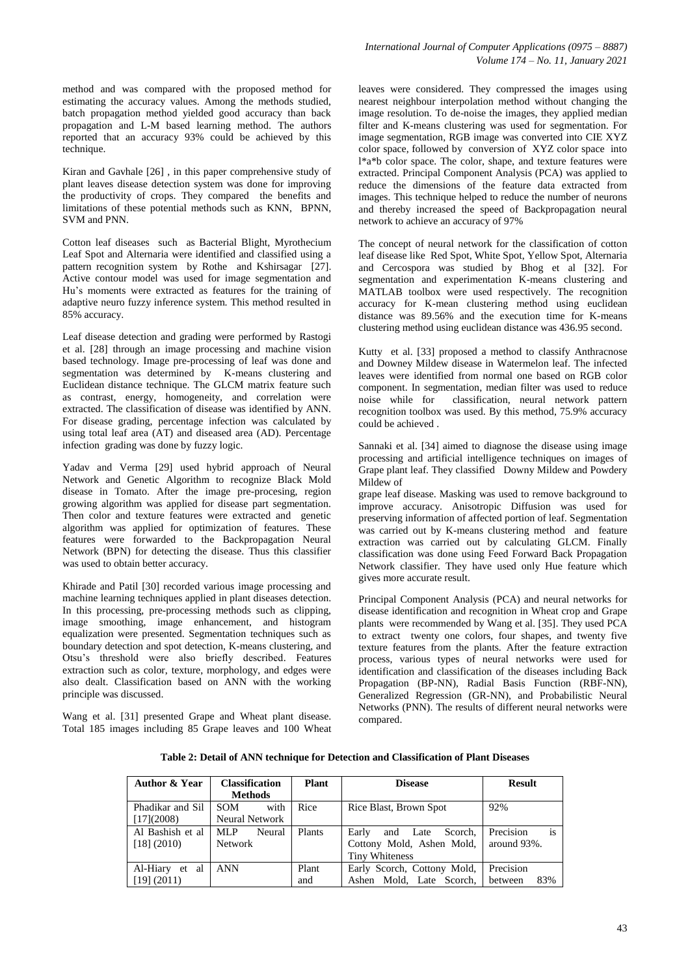method and was compared with the proposed method for estimating the accuracy values. Among the methods studied, batch propagation method yielded good accuracy than back propagation and L-M based learning method. The authors reported that an accuracy 93% could be achieved by this technique.

Kiran and Gavhale [26] , in this paper comprehensive study of plant leaves disease detection system was done for improving the productivity of crops. They compared the benefits and limitations of these potential methods such as KNN, BPNN, SVM and PNN.

Cotton leaf diseases such as Bacterial Blight, Myrothecium Leaf Spot and Alternaria were identified and classified using a pattern recognition system by Rothe and Kshirsagar [27]. Active contour model was used for image segmentation and Hu's moments were extracted as features for the training of adaptive neuro fuzzy inference system. This method resulted in 85% accuracy.

Leaf disease detection and grading were performed by Rastogi et al. [28] through an image processing and machine vision based technology. Image pre-processing of leaf was done and segmentation was determined by K-means clustering and Euclidean distance technique. The GLCM matrix feature such as contrast, energy, homogeneity, and correlation were extracted. The classification of disease was identified by ANN. For disease grading, percentage infection was calculated by using total leaf area (AT) and diseased area (AD). Percentage infection grading was done by fuzzy logic.

Yadav and Verma [29] used hybrid approach of Neural Network and Genetic Algorithm to recognize Black Mold disease in Tomato. After the image pre-procesing, region growing algorithm was applied for disease part segmentation. Then color and texture features were extracted and genetic algorithm was applied for optimization of features. These features were forwarded to the Backpropagation Neural Network (BPN) for detecting the disease. Thus this classifier was used to obtain better accuracy.

Khirade and Patil [30] recorded various image processing and machine learning techniques applied in plant diseases detection. In this processing, pre-processing methods such as clipping, image smoothing, image enhancement, and histogram equalization were presented. Segmentation techniques such as boundary detection and spot detection, K-means clustering, and Otsu's threshold were also briefly described. Features extraction such as color, texture, morphology, and edges were also dealt. Classification based on ANN with the working principle was discussed.

Wang et al. [31] presented Grape and Wheat plant disease. Total 185 images including 85 Grape leaves and 100 Wheat

leaves were considered. They compressed the images using nearest neighbour interpolation method without changing the image resolution. To de-noise the images, they applied median filter and K-means clustering was used for segmentation. For image segmentation, RGB image was converted into CIE XYZ color space, followed by conversion of XYZ color space into l\*a\*b color space. The color, shape, and texture features were extracted. Principal Component Analysis (PCA) was applied to reduce the dimensions of the feature data extracted from images. This technique helped to reduce the number of neurons and thereby increased the speed of Backpropagation neural network to achieve an accuracy of 97%

The concept of neural network for the classification of cotton leaf disease like Red Spot, White Spot, Yellow Spot, Alternaria and Cercospora was studied by Bhog et al [32]. For segmentation and experimentation K-means clustering and MATLAB toolbox were used respectively. The recognition accuracy for K-mean clustering method using euclidean distance was 89.56% and the execution time for K-means clustering method using euclidean distance was 436.95 second.

Kutty et al. [33] proposed a method to classify Anthracnose and Downey Mildew disease in Watermelon leaf. The infected leaves were identified from normal one based on RGB color component. In segmentation, median filter was used to reduce noise while for classification, neural network pattern recognition toolbox was used. By this method, 75.9% accuracy could be achieved .

Sannaki et al. [34] aimed to diagnose the disease using image processing and artificial intelligence techniques on images of Grape plant leaf. They classified Downy Mildew and Powdery Mildew of

grape leaf disease. Masking was used to remove background to improve accuracy. Anisotropic Diffusion was used for preserving information of affected portion of leaf. Segmentation was carried out by K-means clustering method and feature extraction was carried out by calculating GLCM. Finally classification was done using Feed Forward Back Propagation Network classifier. They have used only Hue feature which gives more accurate result.

Principal Component Analysis (PCA) and neural networks for disease identification and recognition in Wheat crop and Grape plants were recommended by Wang et al. [35]. They used PCA to extract twenty one colors, four shapes, and twenty five texture features from the plants. After the feature extraction process, various types of neural networks were used for identification and classification of the diseases including Back Propagation (BP-NN), Radial Basis Function (RBF-NN), Generalized Regression (GR-NN), and Probabilistic Neural Networks (PNN). The results of different neural networks were compared.

| Author & Year                     | <b>Classification</b><br><b>Methods</b> | <b>Plant</b>  | <b>Disease</b>                                                                        | <b>Result</b>                  |
|-----------------------------------|-----------------------------------------|---------------|---------------------------------------------------------------------------------------|--------------------------------|
| Phadikar and Sil<br>$[17]$ (2008) | <b>SOM</b><br>with<br>Neural Network    | Rice          | Rice Blast, Brown Spot                                                                | 92%                            |
| Al Bashish et al<br>[18] (2010)   | MLP<br>Neural<br><b>Network</b>         | <b>Plants</b> | Early<br>Scorch,<br>Late<br>and<br>Cottony Mold, Ashen Mold,<br><b>Tiny Whiteness</b> | is<br>Precision<br>around 93%. |
| Al-Hiary et al<br>[19] (2011)     | <b>ANN</b>                              | Plant<br>and  | Early Scorch, Cottony Mold,<br>Ashen Mold, Late Scorch,                               | Precision<br>83%<br>between    |

**Table 2: Detail of ANN technique for Detection and Classification of Plant Diseases**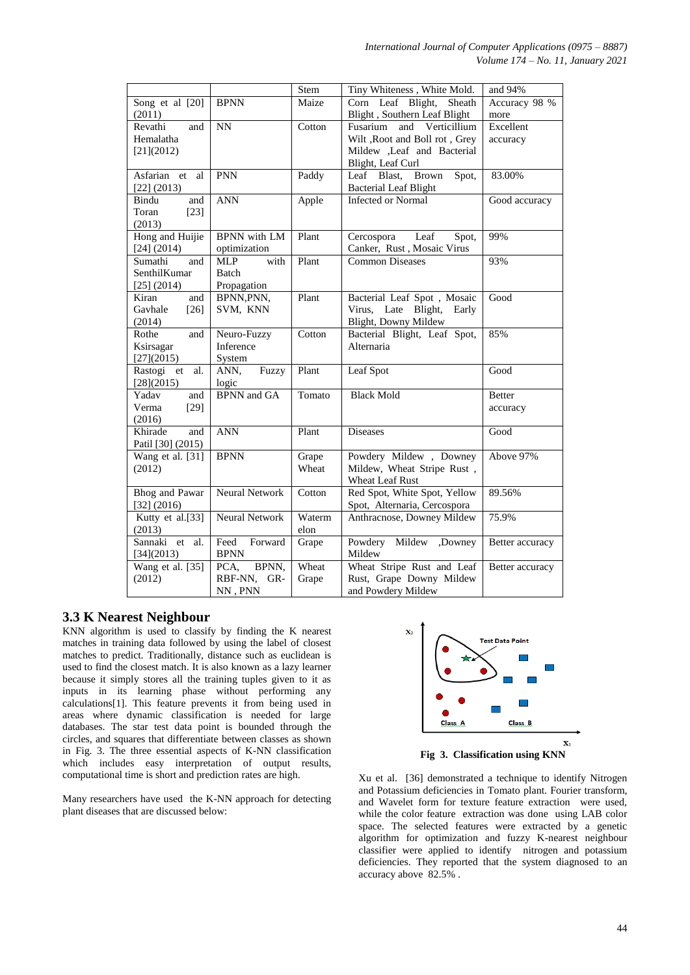|                   |                       | Stem   | Tiny Whiteness, White Mold.          | and 94%         |
|-------------------|-----------------------|--------|--------------------------------------|-----------------|
| Song et al [20]   | <b>BPNN</b>           | Maize  | Corn Leaf Blight,<br>Sheath          | Accuracy 98 %   |
| (2011)            |                       |        | Blight, Southern Leaf Blight         | more            |
| and<br>Revathi    | NN                    | Cotton | Verticillium<br>Fusarium<br>and      | Excellent       |
| Hemalatha         |                       |        | Wilt , Root and Boll rot, Grey       | accuracy        |
| [21] (2012)       |                       |        | Mildew ,Leaf and Bacterial           |                 |
|                   |                       |        | Blight, Leaf Curl                    |                 |
| Asfarian<br>et al | <b>PNN</b>            | Paddy  | Leaf Blast,<br><b>Brown</b><br>Spot, | 83.00%          |
| [22] (2013)       |                       |        | <b>Bacterial Leaf Blight</b>         |                 |
| Bindu<br>and      | <b>ANN</b>            | Apple  | <b>Infected or Normal</b>            | Good accuracy   |
| Toran<br>$[23]$   |                       |        |                                      |                 |
| (2013)            |                       |        |                                      |                 |
| Hong and Huijie   | <b>BPNN</b> with LM   | Plant  | Cercospora<br>Leaf<br>Spot,          | 99%             |
| $[24]$ (2014)     | optimization          |        | Canker, Rust, Mosaic Virus           |                 |
| Sumathi<br>and    | with<br><b>MLP</b>    | Plant  | <b>Common Diseases</b>               | 93%             |
| SenthilKumar      | Batch                 |        |                                      |                 |
| $[25]$ $(2014)$   | Propagation           |        |                                      |                 |
| Kiran<br>and      | BPNN, PNN,            | Plant  | Bacterial Leaf Spot, Mosaic          | Good            |
| Gavhale<br>$[26]$ | SVM, KNN              |        | Virus, Late Blight,<br>Early         |                 |
| (2014)            |                       |        | Blight, Downy Mildew                 |                 |
| Rothe<br>and      | Neuro-Fuzzy           | Cotton | Bacterial Blight, Leaf Spot,         | 85%             |
| Ksirsagar         | Inference             |        | Alternaria                           |                 |
| [27](2015)        | System                |        |                                      |                 |
| Rastogi et<br>al. | ANN,<br>Fuzzy         | Plant  | Leaf Spot                            | Good            |
| [28](2015)        | logic                 |        |                                      |                 |
| Yadav<br>and      | <b>BPNN</b> and GA    | Tomato | <b>Black Mold</b>                    | <b>Better</b>   |
| Verma<br>$[29]$   |                       |        |                                      | accuracy        |
| (2016)            |                       |        |                                      |                 |
| and<br>Khirade    | <b>ANN</b>            | Plant  | <b>Diseases</b>                      | Good            |
| Patil [30] (2015) |                       |        |                                      |                 |
| Wang et al. [31]  | <b>BPNN</b>           | Grape  | Powdery Mildew, Downey               | Above 97%       |
| (2012)            |                       | Wheat  | Mildew, Wheat Stripe Rust,           |                 |
|                   |                       |        | Wheat Leaf Rust                      |                 |
| Bhog and Pawar    | Neural Network        | Cotton | Red Spot, White Spot, Yellow         | 89.56%          |
| [32] (2016)       |                       |        | Spot, Alternaria, Cercospora         |                 |
| Kutty et al.[33]  | <b>Neural Network</b> | Waterm | Anthracnose, Downey Mildew           | 75.9%           |
| (2013)            |                       | elon   |                                      |                 |
| Sannaki et<br>al. | Feed<br>Forward       | Grape  | Powdery Mildew<br>,Downey            | Better accuracy |
| [34](2013)        | <b>BPNN</b>           |        | Mildew                               |                 |
| Wang et al. [35]  | BPNN,<br>PCA,         | Wheat  | Wheat Stripe Rust and Leaf           | Better accuracy |
| (2012)            | RBF-NN,<br>GR-        | Grape  | Rust, Grape Downy Mildew             |                 |
|                   | NN, PNN               |        | and Powdery Mildew                   |                 |

# **3.3 K Nearest Neighbour**

KNN algorithm is used to classify by finding the K nearest matches in training data followed by using the label of closest matches to predict. Traditionally, distance such as euclidean is used to find the closest match. It is also known as a lazy learner because it simply stores all the training tuples given to it as inputs in its learning phase without performing any calculations[1]. This feature prevents it from being used in areas where dynamic classification is needed for large databases. The star test data point is bounded through the circles, and squares that differentiate between classes as shown in Fig. 3. The three essential aspects of K-NN classification which includes easy interpretation of output results, computational time is short and prediction rates are high.

Many researchers have used the K-NN approach for detecting plant diseases that are discussed below:



**Fig 3. Classification using KNN**

Xu et al. [36] demonstrated a technique to identify Nitrogen and Potassium deficiencies in Tomato plant. Fourier transform, and Wavelet form for texture feature extraction were used, while the color feature extraction was done using LAB color space. The selected features were extracted by a genetic algorithm for optimization and fuzzy K-nearest neighbour classifier were applied to identify nitrogen and potassium deficiencies. They reported that the system diagnosed to an accuracy above 82.5% .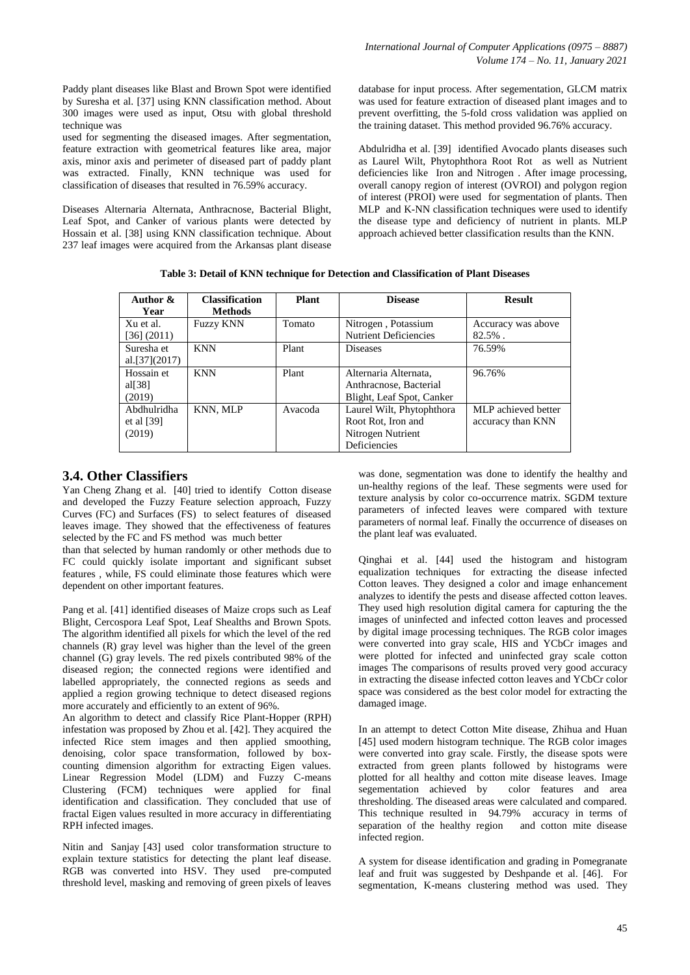Paddy plant diseases like Blast and Brown Spot were identified by Suresha et al. [37] using KNN classification method. About 300 images were used as input, Otsu with global threshold technique was

used for segmenting the diseased images. After segmentation, feature extraction with geometrical features like area, major axis, minor axis and perimeter of diseased part of paddy plant was extracted. Finally, KNN technique was used for classification of diseases that resulted in 76.59% accuracy.

Diseases Alternaria Alternata, Anthracnose, Bacterial Blight, Leaf Spot, and Canker of various plants were detected by Hossain et al. [38] using KNN classification technique. About 237 leaf images were acquired from the Arkansas plant disease

database for input process. After segementation, GLCM matrix was used for feature extraction of diseased plant images and to prevent overfitting, the 5-fold cross validation was applied on the training dataset. This method provided 96.76% accuracy.

Abdulridha et al. [39] identified Avocado plants diseases such as Laurel Wilt, Phytophthora Root Rot as well as Nutrient deficiencies like Iron and Nitrogen. After image processing, overall canopy region of interest (OVROI) and polygon region of interest (PROI) were used for segmentation of plants. Then MLP and K-NN classification techniques were used to identify the disease type and deficiency of nutrient in plants. MLP approach achieved better classification results than the KNN.

| Table 3: Detail of KNN technique for Detection and Classification of Plant Diseases |  |  |  |
|-------------------------------------------------------------------------------------|--|--|--|
|-------------------------------------------------------------------------------------|--|--|--|

| Author &          | <b>Classification</b> | <b>Plant</b> | <b>Disease</b>               | <b>Result</b>       |
|-------------------|-----------------------|--------------|------------------------------|---------------------|
| Year              | <b>Methods</b>        |              |                              |                     |
| Xu et al.         | <b>Fuzzy KNN</b>      | Tomato       | Nitrogen, Potassium          | Accuracy was above  |
| [36] (2011)       |                       |              | <b>Nutrient Deficiencies</b> | $82.5\%$ .          |
| Suresha et        | <b>KNN</b>            | Plant        | <b>Diseases</b>              | 76.59%              |
| al. $[37]$ (2017) |                       |              |                              |                     |
| Hossain et        | <b>KNN</b>            | Plant        | Alternaria Alternata,        | 96.76%              |
| al $[38]$         |                       |              | Anthracnose, Bacterial       |                     |
| (2019)            |                       |              | Blight, Leaf Spot, Canker    |                     |
| Abdhulridha       | KNN, MLP              | Avacoda      | Laurel Wilt, Phytophthora    | MLP achieved better |
| et al $[39]$      |                       |              | Root Rot, Iron and           | accuracy than KNN   |
| (2019)            |                       |              | Nitrogen Nutrient            |                     |
|                   |                       |              | Deficiencies                 |                     |

# **3.4. Other Classifiers**

Yan Cheng Zhang et al. [40] tried to identify Cotton disease and developed the Fuzzy Feature selection approach, Fuzzy Curves (FC) and Surfaces (FS) to select features of diseased leaves image. They showed that the effectiveness of features selected by the FC and FS method was much better

than that selected by human randomly or other methods due to FC could quickly isolate important and significant subset features , while, FS could eliminate those features which were dependent on other important features.

Pang et al. [41] identified diseases of Maize crops such as Leaf Blight, Cercospora Leaf Spot, Leaf Shealths and Brown Spots. The algorithm identified all pixels for which the level of the red channels (R) gray level was higher than the level of the green channel (G) gray levels. The red pixels contributed 98% of the diseased region; the connected regions were identified and labelled appropriately, the connected regions as seeds and applied a region growing technique to detect diseased regions more accurately and efficiently to an extent of 96%.

An algorithm to detect and classify Rice Plant-Hopper (RPH) infestation was proposed by Zhou et al. [42]. They acquired the infected Rice stem images and then applied smoothing, denoising, color space transformation, followed by boxcounting dimension algorithm for extracting Eigen values. Linear Regression Model (LDM) and Fuzzy C-means Clustering (FCM) techniques were applied for final identification and classification. They concluded that use of fractal Eigen values resulted in more accuracy in differentiating RPH infected images.

Nitin and Sanjay [43] used color transformation structure to explain texture statistics for detecting the plant leaf disease. RGB was converted into HSV. They used pre-computed threshold level, masking and removing of green pixels of leaves

was done, segmentation was done to identify the healthy and un-healthy regions of the leaf. These segments were used for texture analysis by color co-occurrence matrix. SGDM texture parameters of infected leaves were compared with texture parameters of normal leaf. Finally the occurrence of diseases on the plant leaf was evaluated.

Qinghai et al. [44] used the histogram and histogram equalization techniques for extracting the disease infected Cotton leaves. They designed a color and image enhancement analyzes to identify the pests and disease affected cotton leaves. They used high resolution digital camera for capturing the the images of uninfected and infected cotton leaves and processed by digital image processing techniques. The RGB color images were converted into gray scale, HIS and YCbCr images and were plotted for infected and uninfected gray scale cotton images The comparisons of results proved very good accuracy in extracting the disease infected cotton leaves and YCbCr color space was considered as the best color model for extracting the damaged image.

In an attempt to detect Cotton Mite disease, Zhihua and Huan [45] used modern histogram technique. The RGB color images were converted into gray scale. Firstly, the disease spots were extracted from green plants followed by histograms were plotted for all healthy and cotton mite disease leaves. Image segementation achieved by color features and area thresholding. The diseased areas were calculated and compared. This technique resulted in 94.79% accuracy in terms of separation of the healthy region and cotton mite disease infected region.

A system for disease identification and grading in Pomegranate leaf and fruit was suggested by Deshpande et al. [46]. For segmentation, K-means clustering method was used. They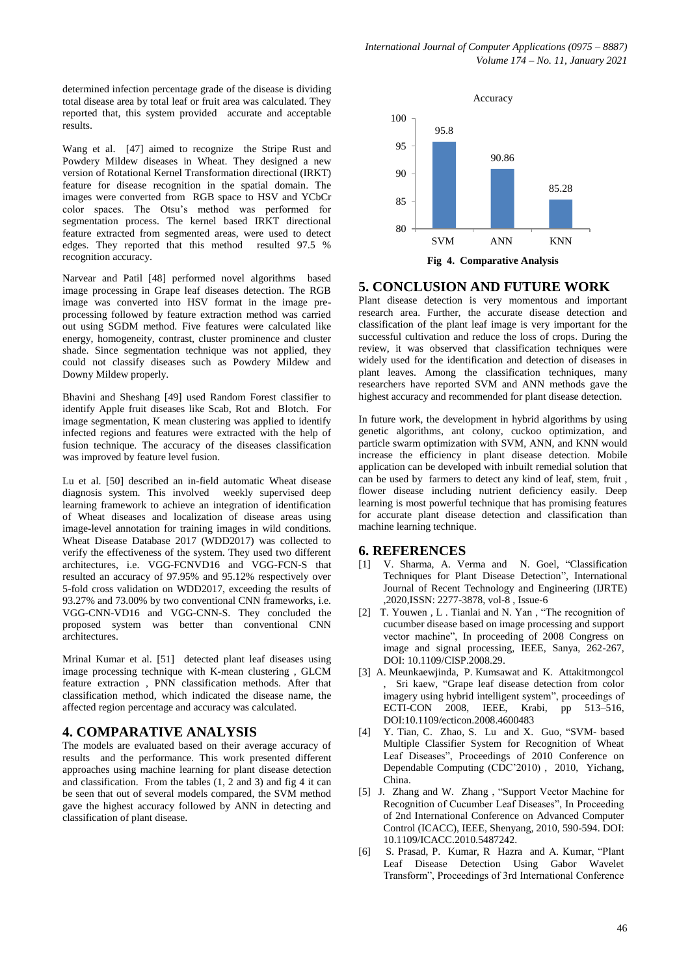determined infection percentage grade of the disease is dividing total disease area by total leaf or fruit area was calculated. They reported that, this system provided accurate and acceptable results.

Wang et al. [47] aimed to recognize the Stripe Rust and Powdery Mildew diseases in Wheat. They designed a new version of Rotational Kernel Transformation directional (IRKT) feature for disease recognition in the spatial domain. The images were converted from RGB space to HSV and YCbCr color spaces. The Otsu's method was performed for segmentation process. The kernel based IRKT directional feature extracted from segmented areas, were used to detect edges. They reported that this method resulted 97.5 % recognition accuracy.

Narvear and Patil [48] performed novel algorithms based image processing in Grape leaf diseases detection. The RGB image was converted into HSV format in the image preprocessing followed by feature extraction method was carried out using SGDM method. Five features were calculated like energy, homogeneity, contrast, cluster prominence and cluster shade. Since segmentation technique was not applied, they could not classify diseases such as Powdery Mildew and Downy Mildew properly.

Bhavini and Sheshang [49] used Random Forest classifier to identify Apple fruit diseases like Scab, Rot and Blotch. For image segmentation, K mean clustering was applied to identify infected regions and features were extracted with the help of fusion technique. The accuracy of the diseases classification was improved by feature level fusion.

Lu et al. [50] described an in-field automatic Wheat disease diagnosis system. This involved weekly supervised deep learning framework to achieve an integration of identification of Wheat diseases and localization of disease areas using image-level annotation for training images in wild conditions. Wheat Disease Database 2017 (WDD2017) was collected to verify the effectiveness of the system. They used two different architectures, i.e. VGG-FCNVD16 and VGG-FCN-S that resulted an accuracy of 97.95% and 95.12% respectively over 5-fold cross validation on WDD2017, exceeding the results of 93.27% and 73.00% by two conventional CNN frameworks, i.e. VGG-CNN-VD16 and VGG-CNN-S. They concluded the proposed system was better than conventional CNN architectures.

Mrinal Kumar et al. [51] detected plant leaf diseases using image processing technique with K-mean clustering , GLCM feature extraction , PNN classification methods. After that classification method, which indicated the disease name, the affected region percentage and accuracy was calculated.

# **4. COMPARATIVE ANALYSIS**

The models are evaluated based on their average accuracy of results and the performance. This work presented different approaches using machine learning for plant disease detection and classification. From the tables  $(1, 2 \text{ and } 3)$  and fig 4 it can be seen that out of several models compared, the SVM method gave the highest accuracy followed by ANN in detecting and classification of plant disease.



#### **5. CONCLUSION AND FUTURE WORK**

Plant disease detection is very momentous and important research area. Further, the accurate disease detection and classification of the plant leaf image is very important for the successful cultivation and reduce the loss of crops. During the review, it was observed that classification techniques were widely used for the identification and detection of diseases in plant leaves. Among the classification techniques, many researchers have reported SVM and ANN methods gave the highest accuracy and recommended for plant disease detection.

In future work, the development in hybrid algorithms by using genetic algorithms, ant colony, cuckoo optimization, and particle swarm optimization with SVM, ANN, and KNN would increase the efficiency in plant disease detection. Mobile application can be developed with inbuilt remedial solution that can be used by farmers to detect any kind of leaf, stem, fruit , flower disease including nutrient deficiency easily. Deep learning is most powerful technique that has promising features for accurate plant disease detection and classification than machine learning technique.

#### **6. REFERENCES**

- [1] V. Sharma, A. Verma and N. Goel, "Classification Techniques for Plant Disease Detection", International Journal of Recent Technology and Engineering (IJRTE) ,2020,ISSN: 2277-3878, vol-8 , Issue-6
- [2] T. Youwen , L . Tianlai and N. Yan , "The recognition of cucumber disease based on image processing and support vector machine", In proceeding of 2008 Congress on image and signal processing, IEEE, Sanya, 262-267, DOI: 10.1109/CISP.2008.29.
- [3] A. Meunkaewjinda, P. Kumsawat and K. Attakitmongcol , Sri kaew, "Grape leaf disease detection from color imagery using hybrid intelligent system", proceedings of ECTI-CON 2008, IEEE, Krabi, pp 513–516, DOI:10.1109/ecticon.2008.4600483
- [4] Y. Tian, C. Zhao, S. Lu and X. Guo, "SVM- based Multiple Classifier System for Recognition of Wheat Leaf Diseases", Proceedings of 2010 Conference on Dependable Computing (CDC'2010) , 2010, Yichang, China.
- [5] J. Zhang and W. Zhang , "Support Vector Machine for Recognition of Cucumber Leaf Diseases", In Proceeding of 2nd International Conference on Advanced Computer Control (ICACC), IEEE, Shenyang, 2010, 590-594. DOI: 10.1109/ICACC.2010.5487242.
- [6] S. Prasad, P. Kumar, R Hazra and A. Kumar, "Plant Leaf Disease Detection Using Gabor Wavelet Transform", Proceedings of 3rd International Conference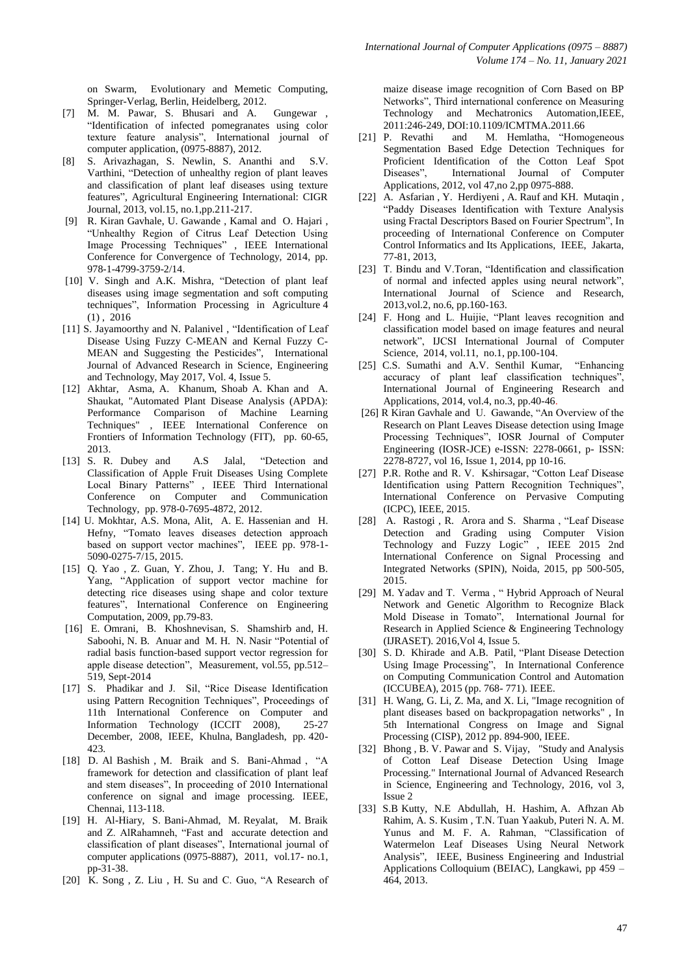on Swarm, Evolutionary and Memetic Computing, Springer-Verlag, Berlin, Heidelberg, 2012.

- [7] M. M. Pawar, S. Bhusari and A. Gungewar , "Identification of infected pomegranates using color texture feature analysis", International journal of computer application, (0975-8887), 2012.
- [8] S. Arivazhagan, S. Newlin, S. Ananthi and S.V. Varthini, "Detection of unhealthy region of plant leaves and classification of plant leaf diseases using texture features", Agricultural Engineering International: CIGR Journal, 2013, vol.15, no.1,pp.211-217.
- [9] R. Kiran Gavhale, U. Gawande , Kamal and O. Hajari , "Unhealthy Region of Citrus Leaf Detection Using Image Processing Techniques" , IEEE International Conference for Convergence of Technology, 2014, pp. 978-1-4799-3759-2/14.
- [10] V. Singh and A.K. Mishra, "Detection of plant leaf diseases using image segmentation and soft computing techniques", [Information](https://www.researchgate.net/journal/2214-3173_Information_Processing_in_Agriculture) Processing in Agriculture 4  $(1)$ , 2016
- [11] S. Jayamoorthy and N. Palanivel, "Identification of Leaf Disease Using Fuzzy C-MEAN and Kernal Fuzzy C-MEAN and Suggesting the Pesticides", International Journal of Advanced Research in Science, Engineering and Technology, May 2017, Vol. 4, Issue 5.
- [12] Akhtar, Asma, A. Khanum, Shoab A. Khan and A. Shaukat, "Automated Plant Disease Analysis (APDA): Performance Comparison of Machine Learning Techniques" , IEEE International Conference on Frontiers of Information Technology (FIT), pp. 60-65, 2013.
- [13] S. R. Dubey and A.S Jalal, "Detection and Classification of Apple Fruit Diseases Using Complete Local Binary Patterns" , IEEE Third International Conference on Computer and Communication Technology, pp. 978-0-7695-4872, 2012.
- [14] U. Mokhtar, A.S. Mona, Alit, A. E. Hassenian and H. Hefny, "Tomato leaves diseases detection approach based on support vector machines", IEEE pp. 978-1- 5090-0275-7/15, 2015.
- [15] Q. Yao , Z. Guan, Y. Zhou, J. Tang; Y. Hu and B. Yang, "Application of support vector machine for detecting rice diseases using shape and color texture features", International Conference on Engineering Computation, 2009, pp.79-83.
- [16] E. Omrani, B. Khoshnevisan, S. Shamshirb and, H. Saboohi, N. B. Anuar and M. H. N. Nasir "Potential of radial basis function-based support vector regression for apple disease detection", Measurement, vol.55, pp.512– 519, Sept-2014
- [17] S. Phadikar and J. Sil, "Rice Disease Identification using Pattern Recognition Techniques", Proceedings of 11th International Conference on Computer and Information Technology (ICCIT 2008), 25-27 December, 2008, IEEE, Khulna, Bangladesh, pp. 420- 423.
- [18] D. Al Bashish , M. Braik and S. Bani-Ahmad , "A framework for detection and classification of plant leaf and stem diseases", In proceeding of 2010 International conference on signal and image processing. IEEE, Chennai, 113-118.
- [19] H. Al-Hiary, S. Bani-Ahmad, M. Reyalat, M. Braik and Z. AlRahamneh, "Fast and accurate detection and classification of plant diseases", International journal of computer applications (0975-8887), 2011, vol.17- no.1, pp-31-38.
- [20] K. Song, Z. Liu, H. Su and C. Guo, "A Research of

maize disease image recognition of Corn Based on BP Networks", Third international conference on Measuring Technology and Mechatronics Automation,IEEE, 2011:246-249, DOI:10.1109/ICMTMA.2011.66<br>[21] P. Revathi and M. Hemlatha. "Home

- and M. Hemlatha, "Homogeneous Segmentation Based Edge Detection Techniques for Proficient Identification of the Cotton Leaf Spot Diseases", International Journal of Computer Applications, 2012, vol 47,no 2,pp 0975-888.
- [22] A. Asfarian, Y. Herdiyeni, A. Rauf and KH. Mutaqin, "Paddy Diseases Identification with Texture Analysis using Fractal Descriptors Based on Fourier Spectrum", In proceeding of International Conference on Computer Control Informatics and Its Applications, IEEE, Jakarta, 77-81, 2013,
- [23] T. Bindu and V.Toran, "Identification and classification of normal and infected apples using neural network", International Journal of Science and Research, 2013,vol.2, no.6, pp.160-163.
- [24] F. Hong and L. Huijie, "Plant leaves recognition and classification model based on image features and neural network", IJCSI International Journal of Computer Science, 2014, vol.11, no.1, pp.100-104.
- [25] C.S. Sumathi and A.V. Senthil Kumar, "Enhancing accuracy of plant leaf classification techniques", International Journal of Engineering Research and Applications, 2014, vol.4, no.3, pp.40-46.
- [26] R Kiran Gavhale and U. Gawande, "An Overview of the Research on Plant Leaves Disease detection using Image Processing Techniques", IOSR Journal of Computer Engineering (IOSR-JCE) e-ISSN: 2278-0661, p- ISSN: 2278-8727, vol 16, Issue 1, 2014, pp 10-16.
- [27] P.R. Rothe and R. V. Kshirsagar, "Cotton Leaf Disease Identification using Pattern Recognition Techniques", International Conference on Pervasive Computing (ICPC), IEEE, 2015.
- [28] A. Rastogi , R. Arora and S. Sharma , "Leaf Disease Detection and Grading using Computer Vision Technology and Fuzzy Logic", IEEE 2015 2nd International Conference on Signal Processing and Integrated Networks (SPIN), Noida, 2015, pp 500-505, 2015.
- [29] M. Yadav and T. Verma, "Hybrid Approach of Neural Network and Genetic Algorithm to Recognize Black Mold Disease in Tomato", International Journal for Research in Applied Science & Engineering Technology (IJRASET). 2016,Vol 4, Issue 5.
- [30] S. D. Khirade and A.B. Patil, "Plant Disease Detection Using Image Processing", In International Conference on Computing Communication Control and Automation (ICCUBEA), 2015 (pp. 768- 771). IEEE.
- [31] H. Wang, G. Li, Z. Ma, and X. Li, "Image recognition of plant diseases based on backpropagation networks" , In 5th International Congress on Image and Signal Processing (CISP), 2012 pp. 894-900, IEEE.
- [32] Bhong , B. V. Pawar and S. Vijay, "Study and Analysis of Cotton Leaf Disease Detection Using Image Processing." International Journal of Advanced Research in Science, Engineering and Technology, 2016, vol 3, Issue 2
- [33] S.B Kutty, N.E Abdullah, H. Hashim, A. Afhzan Ab Rahim, A. S. Kusim , T.N. Tuan Yaakub, Puteri N. A. M. Yunus and M. F. A. Rahman, "Classification of Watermelon Leaf Diseases Using Neural Network Analysis", IEEE, Business Engineering and Industrial Applications Colloquium (BEIAC), Langkawi, pp 459 – 464, 2013.